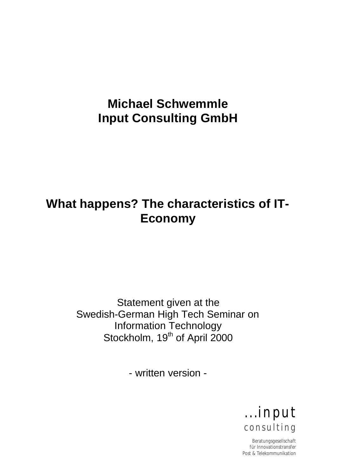# **Michael Schwemmle Input Consulting GmbH**

# **What happens? The characteristics of IT-Economy**

Statement given at the Swedish-German High Tech Seminar on Information Technology Stockholm, 19<sup>th</sup> of April 2000

- written version -



Beratungsgesellschaft für Innovationstransfer Post & Telekommunikation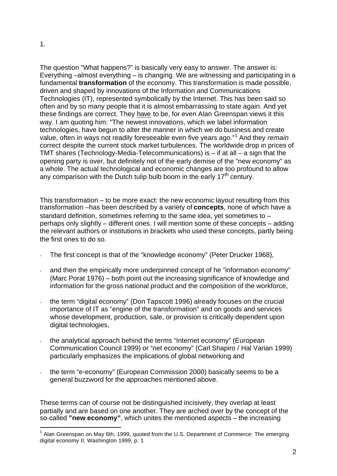l

The question "What happens?" is basically very easy to answer. The answer is: Everything –almost everything – is changing. We are witnessing and participating in a fundamental **transformation** of the economy. This transformation is made possible, driven and shaped by innovations of the Information and Communications Technologies (IT), represented symbolically by the Internet. This has been said so often and by so many people that it is almost embarrassing to state again. And yet these findings are correct. They have to be, for even Alan Greenspan views it this way. I am quoting him: "The newest innovations, which we label information technologies, have begun to alter the manner in which we do business and create value, often in ways not readily foreseeable even five years ago."<sup>1</sup> And they *remain* correct despite the current stock market turbulences. The worldwide drop in prices of TMT shares (Technology-Media-Telecommunications) is – if at all – a sign that the opening party is over, but definitely not of the early demise of the "new economy" as a whole. The actual technological and economic changes are too profound to allow any comparison with the Dutch tulip bulb boom in the early  $17<sup>th</sup>$  century.

This transformation – to be more exact: the new economic layout resulting from this transformation –has been described by a variety of **concepts**, none of which have a standard definition, sometimes referring to the same idea, yet sometimes to – perhaps only slightly – different ones. I will mention some of these concepts – adding the relevant authors or institutions in brackets who used these concepts, partly being the first ones to do so.

- The first concept is that of the "knowledge economy" (Peter Drucker 1968),
- and then the empirically more underpinned concept of he "information economy" (Marc Porat 1976) – both point out the increasing significance of knowledge and information for the gross national product and the composition of the workforce,
- the term "digital economy" (Don Tapscott 1996) already focuses on the crucial importance of IT as "engine of the transformation" and on goods and services whose development, production, sale, or provision is critically dependent upon digital technologies,
- the analytical approach behind the terms "Internet economy" (European Communication Council 1999) or "net economy" (Carl Shapiro / Hal Varian 1999) particularly emphasizes the implications of global networking and
- the term "e-economy" (European Commission 2000) basically seems to be a general buzzword for the approaches mentioned above.

These terms can of course not be distinguished incisively, they overlap at least partially and are based on one another. They are arched over by the concept of the so-called **"new economy"**, which unites the mentioned aspects – the increasing

<sup>&</sup>lt;sup>1</sup> Alan Greenspan on May 6th, 1999, quoted from the U.S. Department of Commerce: The emerging digital economy II, Washington 1999, p. 1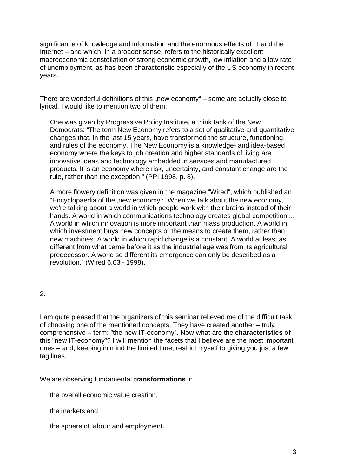significance of knowledge and information and the enormous effects of IT and the Internet – and which, in a broader sense, refers to the historically excellent macroeconomic constellation of strong economic growth, low inflation and a low rate of unemployment, as has been characteristic especially of the US economy in recent years.

There are wonderful definitions of this "new economy" – some are actually close to lyrical. I would like to mention two of them:

- One was given by Progressive Policy Institute, a think tank of the New Democrats: "The term New Economy refers to a set of qualitative and quantitative changes that, in the last 15 years, have transformed the structure, functioning, and rules of the economy. The New Economy is a knowledge- and idea-based economy where the keys to job creation and higher standards of living are innovative ideas and technology embedded in services and manufactured products. It is an economy where risk, uncertainty, and constant change are the rule, rather than the exception." (PPI 1998, p. 8).
- A more flowery definition was given in the magazine "Wired", which published an "Encyclopaedia of the ,new economy': "When we talk about the new economy, we're talking about a world in which people work with their brains instead of their hands. A world in which communications technology creates global competition ... A world in which innovation is more important than mass production. A world in which investment buys new concepts or the means to create them, rather than new machines. A world in which rapid change is a constant. A world at least as different from what came before it as the industrial age was from its agricultural predecessor. A world so different its emergence can only be described as a revolution." (Wired 6.03 - 1998).

#### 2.

I am quite pleased that the organizers of this seminar relieved me of the difficult task of choosing one of the mentioned concepts. They have created another – truly comprehensive – term: "the new IT-economy". Now what are the **characteristics** of this "new IT-economy"? I will mention the facets that I believe are the most important ones – and, keeping in mind the limited time, restrict myself to giving you just a few tag lines.

We are observing fundamental **transformations** in

- the overall economic value creation,
- the markets and
- the sphere of labour and employment.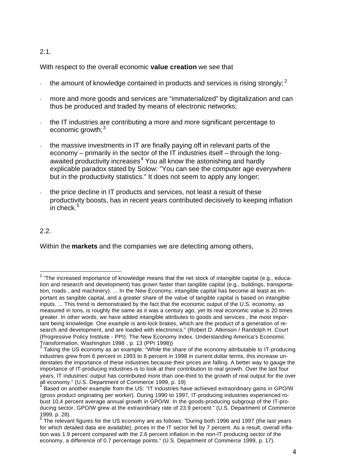#### 2.1.

With respect to the overall economic **value creation** we see that

- the amount of knowledge contained in products and services is rising strongly;  $2^{\circ}$
- more and more goods and services are "immaterialized" by digitalization and can thus be produced and traded by means of electronic networks;
- the IT industries are contributing a more and more significant percentage to economic growth; $3$
- the massive investments in IT are finally paying off in relevant parts of the economy – primarily in the sector of the IT industries itself – through the longawaited productivity increases<sup>4</sup> You all know the astonishing and hardly explicable paradox stated by Solow: "You can see the computer age everywhere but in the productivity statistics." It does not seem to apply any longer;
- the price decline in IT products and services, not least a result of these productivity boosts, has in recent years contributed decisively to keeping inflation  $\frac{1}{2}$ in check.<sup>5</sup>

## 2.2.

l

Within the **markets** and the companies we are detecting among others,

<sup>&</sup>lt;sup>2</sup> "The increased importance of knowledge means that the net stock of intangible capital (e.g., education and research and development) has grown faster than tangible capital (e.g., buildings, transportation, roads , and machinery). ... In the New Economy, intangible capital has become at least as important as tangible capital, and a greater share of the value of tangible capital is based on intangible inputs. ... This trend is demonstrated by the fact that the economic output of the U.S. economy, as measured in tons, is roughly the same as it was a century ago, yet its real economic value is 20 times greater. In other words, we have added intangible attributes to goods and services , the most important being knowledge. One example is anti-lock brakes, which are the product of a generation of research and development, and are loaded with electronics." (Robert D. Atkinson / Randolph H. Court (Progressive Policy Institute - PPI): The New Economy Index. Understanding America's Economic Transformation, Washington 1998 , p. 13 (PPI 1998)) 3

Taking the US economy as an example: "While the share of the economy attributable to IT-producing industries grew from 6 percent in 1993 to 8 percent in 1998 in current dollar terms, this increase understates the importance of these industries because their prices are falling. A better way to gauge the importance of IT-producing industries is to look at their contribution to real growth. Over the last four years, IT industries' output has contributed more than one-third to the growth of real output for the over all economy." (U.S. Department of Commerce 1999, p. 19)<br><sup>4</sup> Beard an another example from the US: "IT industries ha

 $^{\text{!}}$  Based on another example from the US: "IT industries have achieved extraordinary gains in GPO/W (gross product originating per worker). During 1990 to 1997, IT-producing industries experienced robust 10,4 percent average annual growth in GPO/W. In the goods-producing subgroup of the IT-producing sector, GPO/W grew at the extraordinary rate of 23.9 percent." (U.S. Department of Commerce 1999, p. 28).

 $^5$  The relevant figures for the US economy are as follows: "During both 1996 and 1997 (the last years for which detailed data are available), prices in the IT sector fell by 7 percent. As a result, overall inflation was 1.9 percent compared with the 2.6 percent inflation in the non-IT producing sector of the economy, a difference of 0.7 percentage points." (U.S. Department of Commerce 1999, p. 17).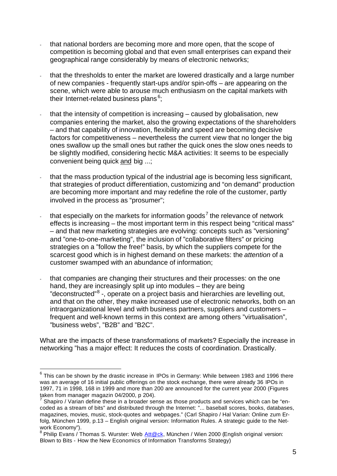- that national borders are becoming more and more open, that the scope of competition is becoming global and that even small enterprises can expand their geographical range considerably by means of electronic networks;
- that the thresholds to enter the market are lowered drastically and a large number of new companies - frequently start-ups and/or spin-offs – are appearing on the scene, which were able to arouse much enthusiasm on the capital markets with their Internet-related business plans<sup>6</sup>;
- that the intensity of competition is increasing  $-$  caused by globalisation, new companies entering the market, also the growing expectations of the shareholders – and that capability of innovation, flexibility and speed are becoming decisive factors for competitiveness – nevertheless the current view that no longer the big ones swallow up the small ones but rather the quick ones the slow ones needs to be slightly modified, considering hectic M&A activities: It seems to be especially convenient being quick and big ...;
- that the mass production typical of the industrial age is becoming less significant, that strategies of product differentiation, customizing and "on demand" production are becoming more important and may redefine the role of the customer, partly involved in the process as "prosumer";
- that especially on the markets for information goods<sup>7</sup> the relevance of network effects is increasing – the most important term in this respect being "critical mass" – and that new marketing strategies are evolving: concepts such as "versioning" and "one-to-one-marketing", the inclusion of "collaborative filters" or pricing strategies on a "follow the free!" basis, by which the suppliers compete for the scarcest good which is in highest demand on these markets: the *attention* of a customer swamped with an abundance of information;
- that companies are changing their structures and their processes: on the one hand, they are increasingly split up into modules – they are being "deconstructed"<sup>8</sup> -, operate on a project basis and hierarchies are levelling out, and that on the other, they make increased use of electronic networks, both on an intraorganizational level and with business partners, suppliers and customers – frequent and well-known terms in this context are among others "virtualisation", "business webs", "B2B" and "B2C".

What are the impacts of these transformations of markets? Especially the increase in networking "has a major effect: It reduces the costs of coordination. Drastically.

l

 $^6$  This can be shown by the drastic increase in IPOs in Germany: While between 1983 and 1996 there was an average of 16 initial public offerings on the stock exchange, there were already 36 IPOs in 1997, 71 in 1998, 168 in 1999 and more than 200 are announced for the current year 2000 (Figures taken from manager magazin 04/2000, p 204).

<sup>7</sup> Shapiro / Varian define these in a broader sense as those products and services which can be "encoded as a stream of bits" and distributed through the Internet: "... baseball scores, books, databases, magazines, movies, music, stock-quotes and webpages." (Carl Shapiro / Hal Varian: Online zum Erfolg, München 1999, p.13 – English original version: Information Rules. A strategic guide to the Network Economy").

<sup>&</sup>lt;sup>8</sup> Philip Evans / Thomas S. Wurster: Web <u>Att@ck,</u> München / Wien 2000 (English original version: Blown to Bits - How the New Economics of Information Transforms Strategy)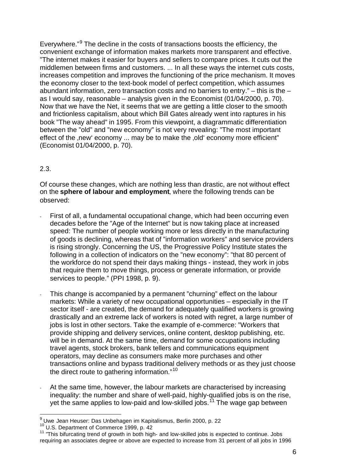Everywhere."<sup>9</sup> The decline in the costs of transactions boosts the efficiency, the convenient exchange of information makes markets more transparent and effective. "The internet makes it easier for buyers and sellers to compare prices. It cuts out the middlemen between firms and customers. ... In all these ways the internet cuts costs, increases competition and improves the functioning of the price mechanism. It moves the economy closer to the text-book model of perfect competition, which assumes abundant information, zero transaction costs and no barriers to entry." – this is the – as I would say, reasonable – analysis given in the Economist (01/04/2000, p. 70). Now that we have the Net, it seems that we are getting a little closer to the smooth and frictionless capitalism, about which Bill Gates already went into raptures in his book "The way ahead" in 1995. From this viewpoint, a diagrammatic differentiation between the "old" and "new economy" is not very revealing: "The most important effect of the new economy ... may be to make the old economy more efficient" (Economist 01/04/2000, p. 70).

## 2.3.

Of course these changes, which are nothing less than drastic, are not without effect on the **sphere of labour and employment**, where the following trends can be observed:

- First of all, a fundamental occupational change, which had been occurring even decades before the "Age of the Internet" but is now taking place at increased speed: The number of people working more or less directly in the manufacturing of goods is declining, whereas that of "information workers" and service providers is rising strongly. Concerning the US, the Progressive Policy Institute states the following in a collection of indicators on the "new economy": "that 80 percent of the workforce do not spend their days making things - instead, they work in jobs that require them to move things, process or generate information, or provide services to people." (PPI 1998, p. 9).
- This change is accompanied by a permanent "churning" effect on the labour markets: While a variety of new occupational opportunities – especially in the IT sector itself - are created, the demand for adequately qualified workers is growing drastically and an extreme lack of workers is noted with regret, a large number of jobs is lost in other sectors. Take the example of e-commerce: "Workers that provide shipping and delivery services, online content, desktop publishing, etc. will be in demand. At the same time, demand for some occupations including travel agents, stock brokers, bank tellers and communications equipment operators, may decline as consumers make more purchases and other transactions online and bypass traditional delivery methods or as they just choose the direct route to gathering information."<sup>10</sup>
- At the same time, however, the labour markets are characterised by increasing inequality: the number and share of well-paid, highly-qualified jobs is on the rise, yet the same applies to low-paid and low-skilled jobs.<sup>11</sup> The wage gap between

 9 Uwe Jean Heuser: Das Unbehagen im Kapitalismus, Berlin 2000, p. 22

<sup>&</sup>lt;sup>10</sup> U.S. Department of Commerce 1999, p. 42

 $11$  "This bifurcating trend of growth in both high- and low-skilled jobs is expected to continue. Jobs requiring an associates degree or above are expected to increase from 31 percent of all jobs in 1996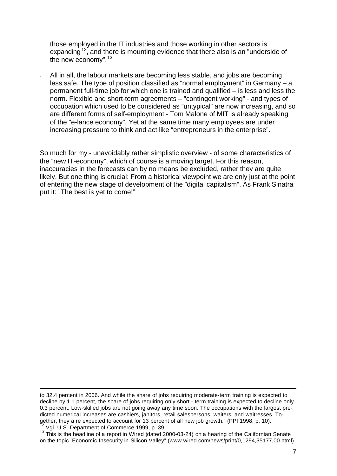those employed in the IT industries and those working in other sectors is expanding<sup>12</sup>, and there is mounting evidence that there also is an "underside of the new economy".<sup>13</sup>

All in all, the labour markets are becoming less stable, and jobs are becoming less safe. The type of position classified as "normal employment" in Germany – a permanent full-time job for which one is trained and qualified – is less and less the norm. Flexible and short-term agreements – "contingent working" - and types of occupation which used to be considered as "untypical" are now increasing, and so are different forms of self-employment - Tom Malone of MIT is already speaking of the "e-lance economy". Yet at the same time many employees are under increasing pressure to think and act like "entrepreneurs in the enterprise".

So much for my - unavoidably rather simplistic overview - of some characteristics of the "new IT-economy", which of course is a moving target. For this reason, inaccuracies in the forecasts can by no means be excluded, rather they are quite likely. But one thing is crucial: From a historical viewpoint we are only just at the point of entering the new stage of development of the "digital capitalism". As Frank Sinatra put it: "The best is yet to come!"

l

to 32.4 percent in 2006. And while the share of jobs requiring moderate-term training is expected to decline by 1.1 percent, the share of jobs requiring only short - term training is expected to decline only 0.3 percent. Low-skilled jobs are not going away any time soon. The occupations with the largest predicted numerical increases are cashiers, janitors, retail salespersons, waiters, and waitresses. Together, they a re expected to account for 13 percent of all new job growth." (PPI 1998, p. 10). Vgl. U.S. Department of Commerce 1999, p. 39

 $13$  This is the headline of a report in Wired (dated 2000-03-24) on a hearing of the Californian Senate on the topic "Economic Insecurity in Silicon Valley" (www.wired.com/news/print/0,1294,35177,00.html).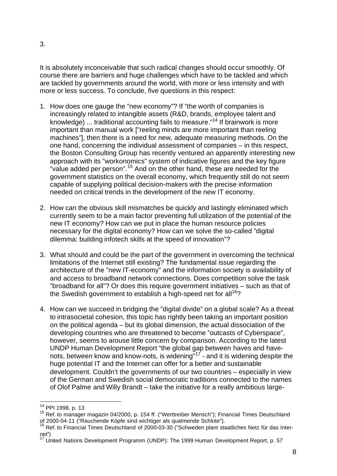It is absolutely inconceivable that such radical changes should occur smoothly. Of course there are barriers and huge challenges which have to be tackled and which are tackled by governments around the world, with more or less intensity and with more or less success. To conclude, five questions in this respect:

- 1. How does one gauge the "new economy"? If "the worth of companies is increasingly related to intangible assets (R&D, brands, employee talent and knowledge) ... traditional accounting fails to measure."<sup>14</sup> If brainwork is more important than manual work ["reeling minds are more important than reeling machines"], then there is a need for new, adequate measuring methods. On the one hand, concerning the individual assessment of companies – in this respect, the Boston Consulting Group has recently ventured an apparently interesting new approach with its "workonomics" system of indicative figures and the key figure "value added per person".<sup>15</sup> And on the other hand, these are needed for the government statistics on the overall economy, which frequently still do not seem capable of supplying political decision-makers with the precise information needed on critical trends in the development of the new IT economy.
- 2. How can the obvious skill mismatches be quickly and lastingly eliminated which currently seem to be a main factor preventing full utilization of the potential of the new IT economy? How can we put in place the human resource policies necessary for the digital economy? How can we solve the so-called "digital dilemma: building infotech skills at the speed of innovation"?
- 3. What should and could be the part of the government in overcoming the technical limitations of the Internet still existing? The fundamental issue regarding the architecture of the "new IT-economy" and the information society is availability of and access to broadband network connections. Does competition solve the task "broadband for all"? Or does this require government initiatives – such as that of the Swedish government to establish a high-speed net for all<sup>16</sup>?
- 4. How can we succeed in bridging the "digital divide" on a global scale? As a threat to intrasocietal cohesion, this topic has rightly been taking an important position on the political agenda – but its global dimension, the actual dissociation of the developing countries who are threatened to become "outcasts of Cyberspace", however, seems to arouse little concern by comparison. According to the latest UNDP Human Development Report "the global gap between haves and havenots, between know and know-nots, is widening"<sup>17</sup> - and it is widening despite the huge potential IT and the Internet can offer for a better and sustainable development. Couldn't the governments of our two countries – especially in view of the German and Swedish social democratic traditions connected to the names of Olof Palme and Willy Brandt – take the initiative for a really ambitious large-

 $\overline{a}$ <sup>14</sup> PPI 1998, p. 13

<sup>15</sup> Ref. to manager magazin 04/2000, p. 154 ff. ("Werttreiber Mensch"); Financial Times Deutschland of 2000-04-11 ("Rauchende Köpfe sind wichtiger als qualmende Schlote").

<sup>&</sup>lt;sup>16</sup> Ref. to Financial Times Deutschland of 2000-03-30 ("Schweden plant staatliches Netz für das Internet")

<sup>17</sup> United Nations Development Programm (UNDP): The 1999 Human Development Report, p. 57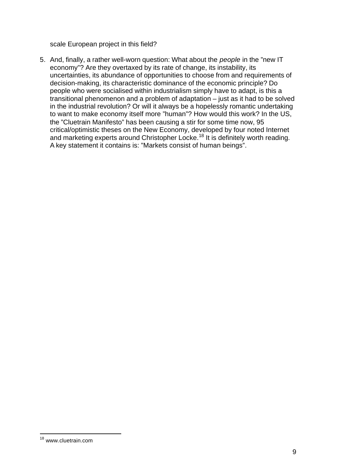scale European project in this field?

5. And, finally, a rather well-worn question: What about the *people* in the "new IT economy"? Are they overtaxed by its rate of change, its instability, its uncertainties, its abundance of opportunities to choose from and requirements of decision-making, its characteristic dominance of the economic principle? Do people who were socialised within industrialism simply have to adapt, is this a transitional phenomenon and a problem of adaptation – just as it had to be solved in the industrial revolution? Or will it always be a hopelessly romantic undertaking to want to make economy itself more "human"? How would this work? In the US, the "Cluetrain Manifesto" has been causing a stir for some time now, 95 critical/optimistic theses on the New Economy, developed by four noted Internet and marketing experts around Christopher Locke.<sup>18</sup> It is definitely worth reading. A key statement it contains is: "Markets consist of human beings".

l <sup>18</sup> www.cluetrain.com